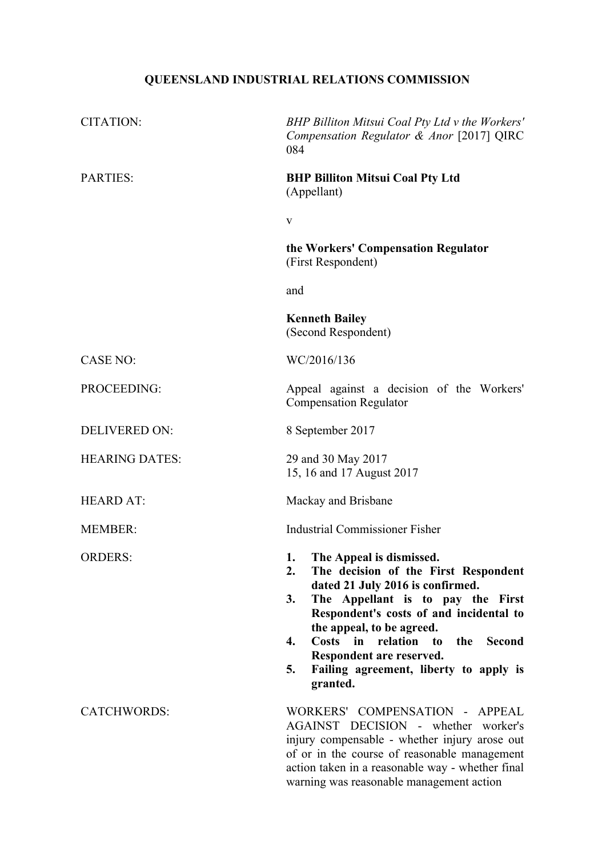# **QUEENSLAND INDUSTRIAL RELATIONS COMMISSION**

| <b>CITATION:</b>      | BHP Billiton Mitsui Coal Pty Ltd v the Workers'<br>Compensation Regulator & Anor [2017] QIRC<br>084                                                                                                                                                                                                                                                                               |
|-----------------------|-----------------------------------------------------------------------------------------------------------------------------------------------------------------------------------------------------------------------------------------------------------------------------------------------------------------------------------------------------------------------------------|
| <b>PARTIES:</b>       | <b>BHP Billiton Mitsui Coal Pty Ltd</b><br>(Appellant)                                                                                                                                                                                                                                                                                                                            |
|                       | $\mathbf{V}$                                                                                                                                                                                                                                                                                                                                                                      |
|                       | the Workers' Compensation Regulator<br>(First Respondent)                                                                                                                                                                                                                                                                                                                         |
|                       | and                                                                                                                                                                                                                                                                                                                                                                               |
|                       | <b>Kenneth Bailey</b><br>(Second Respondent)                                                                                                                                                                                                                                                                                                                                      |
| <b>CASE NO:</b>       | WC/2016/136                                                                                                                                                                                                                                                                                                                                                                       |
| PROCEEDING:           | Appeal against a decision of the Workers'<br><b>Compensation Regulator</b>                                                                                                                                                                                                                                                                                                        |
| <b>DELIVERED ON:</b>  | 8 September 2017                                                                                                                                                                                                                                                                                                                                                                  |
| <b>HEARING DATES:</b> | 29 and 30 May 2017<br>15, 16 and 17 August 2017                                                                                                                                                                                                                                                                                                                                   |
| <b>HEARD AT:</b>      | Mackay and Brisbane                                                                                                                                                                                                                                                                                                                                                               |
| <b>MEMBER:</b>        | <b>Industrial Commissioner Fisher</b>                                                                                                                                                                                                                                                                                                                                             |
| <b>ORDERS:</b>        | The Appeal is dismissed.<br>1.<br>2.<br>The decision of the First Respondent<br>dated 21 July 2016 is confirmed.<br>3.<br>The Appellant is to pay the First<br>Respondent's costs of and incidental to<br>the appeal, to be agreed.<br>Costs in relation to<br>the<br>4.<br><b>Second</b><br>Respondent are reserved.<br>Failing agreement, liberty to apply is<br>5.<br>granted. |
| <b>CATCHWORDS:</b>    | WORKERS' COMPENSATION - APPEAL<br>AGAINST DECISION - whether worker's<br>injury compensable - whether injury arose out<br>of or in the course of reasonable management<br>action taken in a reasonable way - whether final<br>warning was reasonable management action                                                                                                            |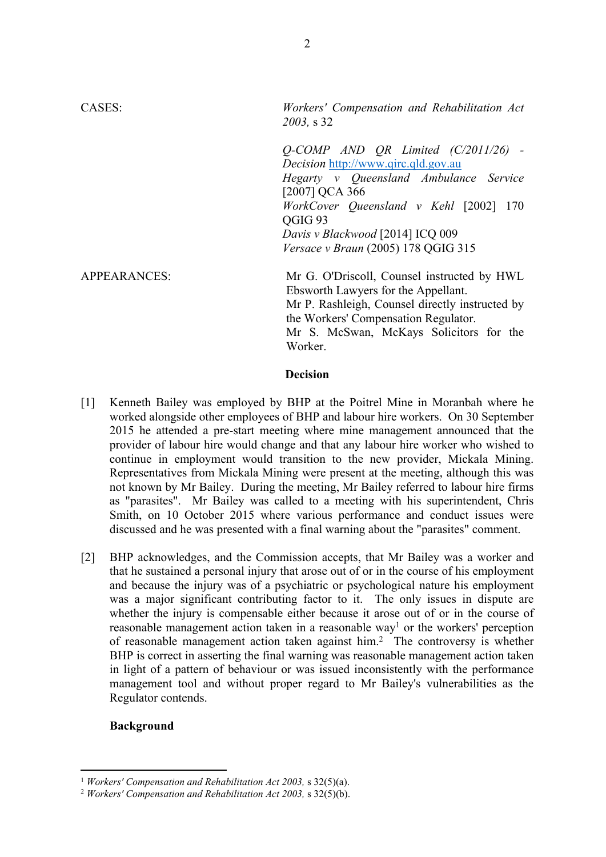CASES: *Workers' Compensation and Rehabilitation Act 2003,* s 32 *Q-COMP AND QR Limited (C/2011/26) - Decision* http://www.qirc.qld.gov.au *Hegarty v Queensland Ambulance Service* [2007] QCA 366 *WorkCover Queensland v Kehl* [2002] 170 QGIG 93 *Davis v Blackwood* [2014] ICQ 009 *Versace v Braun* (2005) 178 QGIG 315 APPEARANCES: Mr G. O'Driscoll, Counsel instructed by HWL Ebsworth Lawyers for the Appellant. Mr P. Rashleigh, Counsel directly instructed by the Workers' Compensation Regulator. Mr S. McSwan, McKays Solicitors for the Worker.

#### **Decision**

- [1] Kenneth Bailey was employed by BHP at the Poitrel Mine in Moranbah where he worked alongside other employees of BHP and labour hire workers. On 30 September 2015 he attended a pre-start meeting where mine management announced that the provider of labour hire would change and that any labour hire worker who wished to continue in employment would transition to the new provider, Mickala Mining. Representatives from Mickala Mining were present at the meeting, although this was not known by Mr Bailey. During the meeting, Mr Bailey referred to labour hire firms as "parasites". Mr Bailey was called to a meeting with his superintendent, Chris Smith, on 10 October 2015 where various performance and conduct issues were discussed and he was presented with a final warning about the "parasites" comment.
- [2] BHP acknowledges, and the Commission accepts, that Mr Bailey was a worker and that he sustained a personal injury that arose out of or in the course of his employment and because the injury was of a psychiatric or psychological nature his employment was a major significant contributing factor to it. The only issues in dispute are whether the injury is compensable either because it arose out of or in the course of reasonable management action taken in a reasonable way<sup>1</sup> or the workers' perception of reasonable management action taken against him.<sup>2</sup> The controversy is whether BHP is correct in asserting the final warning was reasonable management action taken in light of a pattern of behaviour or was issued inconsistently with the performance management tool and without proper regard to Mr Bailey's vulnerabilities as the Regulator contends.

## **Background**

<sup>1</sup> *Workers' Compensation and Rehabilitation Act 2003,* s 32(5)(a).

<sup>2</sup> *Workers' Compensation and Rehabilitation Act 2003,* s 32(5)(b).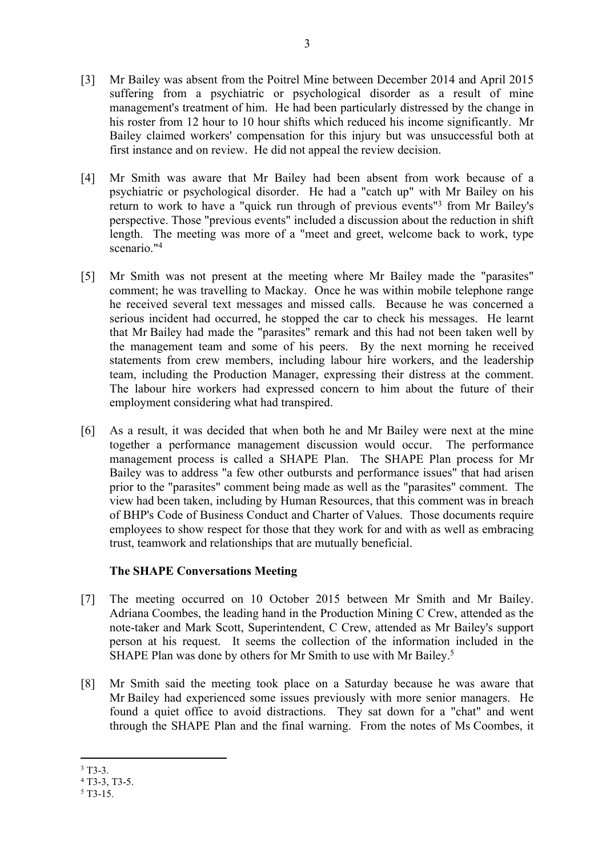- [3] Mr Bailey was absent from the Poitrel Mine between December 2014 and April 2015 suffering from a psychiatric or psychological disorder as a result of mine management's treatment of him. He had been particularly distressed by the change in his roster from 12 hour to 10 hour shifts which reduced his income significantly. Mr Bailey claimed workers' compensation for this injury but was unsuccessful both at first instance and on review. He did not appeal the review decision.
- [4] Mr Smith was aware that Mr Bailey had been absent from work because of a psychiatric or psychological disorder. He had a "catch up" with Mr Bailey on his return to work to have a "quick run through of previous events"<sup>3</sup> from Mr Bailey's perspective. Those "previous events" included a discussion about the reduction in shift length. The meeting was more of a "meet and greet, welcome back to work, type scenario."<sup>4</sup>
- [5] Mr Smith was not present at the meeting where Mr Bailey made the "parasites" comment; he was travelling to Mackay. Once he was within mobile telephone range he received several text messages and missed calls. Because he was concerned a serious incident had occurred, he stopped the car to check his messages. He learnt that Mr Bailey had made the "parasites" remark and this had not been taken well by the management team and some of his peers. By the next morning he received statements from crew members, including labour hire workers, and the leadership team, including the Production Manager, expressing their distress at the comment. The labour hire workers had expressed concern to him about the future of their employment considering what had transpired.
- [6] As a result, it was decided that when both he and Mr Bailey were next at the mine together a performance management discussion would occur. The performance management process is called a SHAPE Plan. The SHAPE Plan process for Mr Bailey was to address "a few other outbursts and performance issues" that had arisen prior to the "parasites" comment being made as well as the "parasites" comment. The view had been taken, including by Human Resources, that this comment was in breach of BHP's Code of Business Conduct and Charter of Values. Those documents require employees to show respect for those that they work for and with as well as embracing trust, teamwork and relationships that are mutually beneficial.

## **The SHAPE Conversations Meeting**

- [7] The meeting occurred on 10 October 2015 between Mr Smith and Mr Bailey. Adriana Coombes, the leading hand in the Production Mining C Crew, attended as the note-taker and Mark Scott, Superintendent, C Crew, attended as Mr Bailey's support person at his request. It seems the collection of the information included in the SHAPE Plan was done by others for Mr Smith to use with Mr Bailey.<sup>5</sup>
- [8] Mr Smith said the meeting took place on a Saturday because he was aware that Mr Bailey had experienced some issues previously with more senior managers. He found a quiet office to avoid distractions. They sat down for a "chat" and went through the SHAPE Plan and the final warning. From the notes of Ms Coombes, it

 $3$  T3-3.

<sup>4</sup> T3-3, T3-5.

<sup>5</sup> T3-15.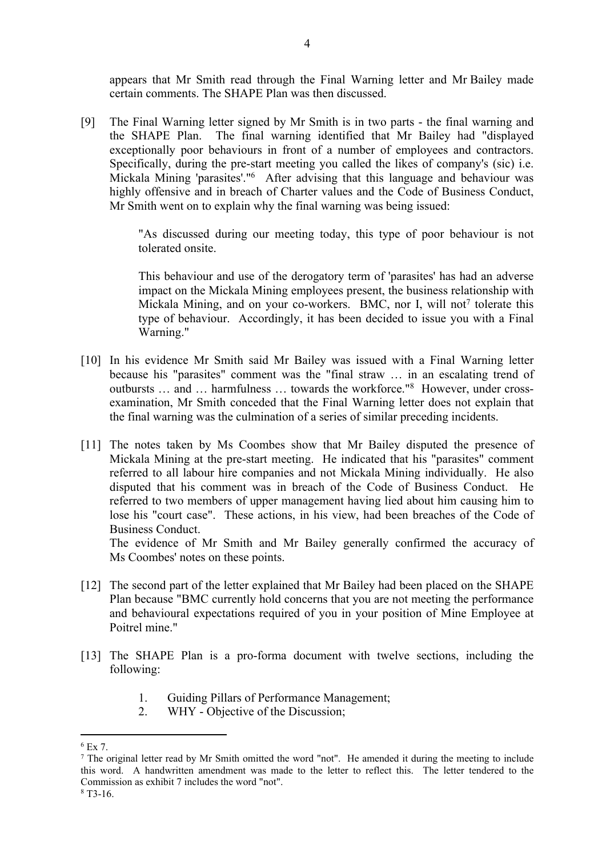appears that Mr Smith read through the Final Warning letter and Mr Bailey made certain comments. The SHAPE Plan was then discussed.

[9] The Final Warning letter signed by Mr Smith is in two parts - the final warning and the SHAPE Plan. The final warning identified that Mr Bailey had "displayed exceptionally poor behaviours in front of a number of employees and contractors. Specifically, during the pre-start meeting you called the likes of company's (sic) i.e. Mickala Mining 'parasites'."<sup>6</sup> After advising that this language and behaviour was highly offensive and in breach of Charter values and the Code of Business Conduct, Mr Smith went on to explain why the final warning was being issued:

> "As discussed during our meeting today, this type of poor behaviour is not tolerated onsite.

> This behaviour and use of the derogatory term of 'parasites' has had an adverse impact on the Mickala Mining employees present, the business relationship with Mickala Mining, and on your co-workers. BMC, nor I, will not<sup>7</sup> tolerate this type of behaviour. Accordingly, it has been decided to issue you with a Final Warning."

- [10] In his evidence Mr Smith said Mr Bailey was issued with a Final Warning letter because his "parasites" comment was the "final straw … in an escalating trend of outbursts … and … harmfulness … towards the workforce."<sup>8</sup> However, under crossexamination, Mr Smith conceded that the Final Warning letter does not explain that the final warning was the culmination of a series of similar preceding incidents.
- [11] The notes taken by Ms Coombes show that Mr Bailey disputed the presence of Mickala Mining at the pre-start meeting. He indicated that his "parasites" comment referred to all labour hire companies and not Mickala Mining individually. He also disputed that his comment was in breach of the Code of Business Conduct. He referred to two members of upper management having lied about him causing him to lose his "court case". These actions, in his view, had been breaches of the Code of Business Conduct.

The evidence of Mr Smith and Mr Bailey generally confirmed the accuracy of Ms Coombes' notes on these points.

- [12] The second part of the letter explained that Mr Bailey had been placed on the SHAPE Plan because "BMC currently hold concerns that you are not meeting the performance and behavioural expectations required of you in your position of Mine Employee at Poitrel mine."
- [13] The SHAPE Plan is a pro-forma document with twelve sections, including the following:
	- 1. Guiding Pillars of Performance Management;
	- 2. WHY Objective of the Discussion;

<sup>6</sup> Ex 7.

<sup>&</sup>lt;sup>7</sup> The original letter read by Mr Smith omitted the word "not". He amended it during the meeting to include this word. A handwritten amendment was made to the letter to reflect this. The letter tendered to the Commission as exhibit 7 includes the word "not".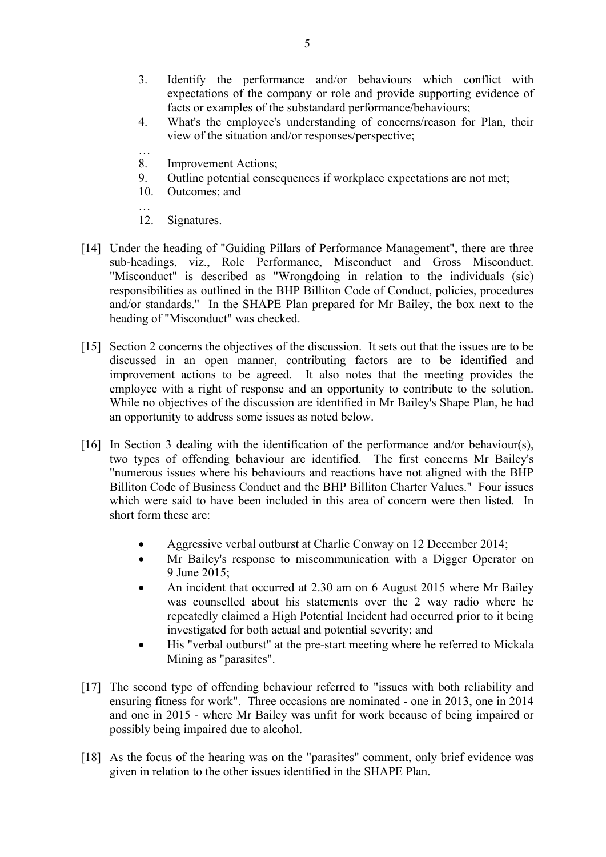- 3. Identify the performance and/or behaviours which conflict with expectations of the company or role and provide supporting evidence of facts or examples of the substandard performance/behaviours;
- 4. What's the employee's understanding of concerns/reason for Plan, their view of the situation and/or responses/perspective;
- … 8. Improvement Actions;
- 9. Outline potential consequences if workplace expectations are not met;
- 10. Outcomes; and

12. Signatures.

…

- [14] Under the heading of "Guiding Pillars of Performance Management", there are three sub-headings, viz., Role Performance, Misconduct and Gross Misconduct. "Misconduct" is described as "Wrongdoing in relation to the individuals (sic) responsibilities as outlined in the BHP Billiton Code of Conduct, policies, procedures and/or standards." In the SHAPE Plan prepared for Mr Bailey, the box next to the heading of "Misconduct" was checked.
- [15] Section 2 concerns the objectives of the discussion. It sets out that the issues are to be discussed in an open manner, contributing factors are to be identified and improvement actions to be agreed. It also notes that the meeting provides the employee with a right of response and an opportunity to contribute to the solution. While no objectives of the discussion are identified in Mr Bailey's Shape Plan, he had an opportunity to address some issues as noted below.
- [16] In Section 3 dealing with the identification of the performance and/or behaviour(s), two types of offending behaviour are identified. The first concerns Mr Bailey's "numerous issues where his behaviours and reactions have not aligned with the BHP Billiton Code of Business Conduct and the BHP Billiton Charter Values." Four issues which were said to have been included in this area of concern were then listed. In short form these are:
	- Aggressive verbal outburst at Charlie Conway on 12 December 2014;
	- Mr Bailey's response to miscommunication with a Digger Operator on 9 June 2015;
	- An incident that occurred at 2.30 am on 6 August 2015 where Mr Bailey was counselled about his statements over the 2 way radio where he repeatedly claimed a High Potential Incident had occurred prior to it being investigated for both actual and potential severity; and
	- His "verbal outburst" at the pre-start meeting where he referred to Mickala Mining as "parasites".
- [17] The second type of offending behaviour referred to "issues with both reliability and ensuring fitness for work". Three occasions are nominated - one in 2013, one in 2014 and one in 2015 - where Mr Bailey was unfit for work because of being impaired or possibly being impaired due to alcohol.
- [18] As the focus of the hearing was on the "parasites" comment, only brief evidence was given in relation to the other issues identified in the SHAPE Plan.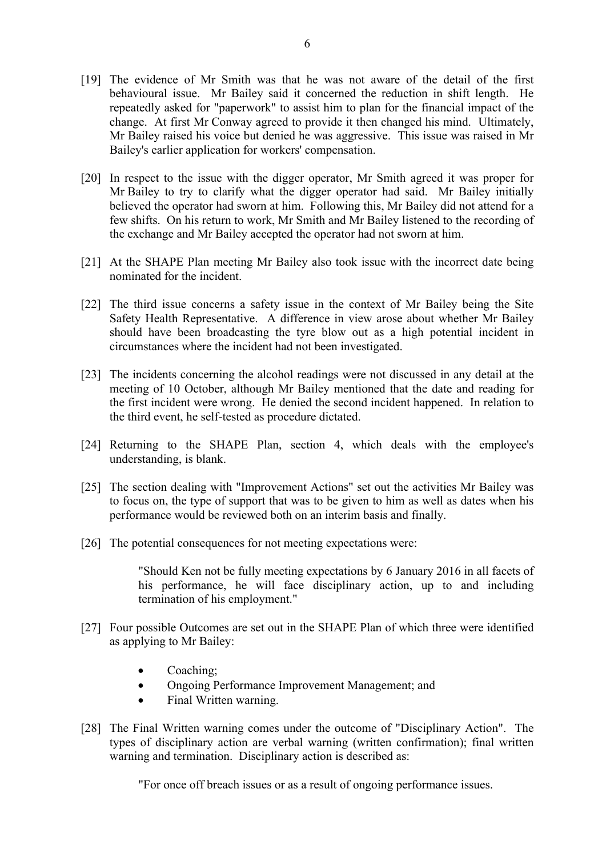- [19] The evidence of Mr Smith was that he was not aware of the detail of the first behavioural issue. Mr Bailey said it concerned the reduction in shift length. He repeatedly asked for "paperwork" to assist him to plan for the financial impact of the change. At first Mr Conway agreed to provide it then changed his mind. Ultimately, Mr Bailey raised his voice but denied he was aggressive. This issue was raised in Mr Bailey's earlier application for workers' compensation.
- [20] In respect to the issue with the digger operator, Mr Smith agreed it was proper for Mr Bailey to try to clarify what the digger operator had said. Mr Bailey initially believed the operator had sworn at him. Following this, Mr Bailey did not attend for a few shifts. On his return to work, Mr Smith and Mr Bailey listened to the recording of the exchange and Mr Bailey accepted the operator had not sworn at him.
- [21] At the SHAPE Plan meeting Mr Bailey also took issue with the incorrect date being nominated for the incident.
- [22] The third issue concerns a safety issue in the context of Mr Bailey being the Site Safety Health Representative. A difference in view arose about whether Mr Bailey should have been broadcasting the tyre blow out as a high potential incident in circumstances where the incident had not been investigated.
- [23] The incidents concerning the alcohol readings were not discussed in any detail at the meeting of 10 October, although Mr Bailey mentioned that the date and reading for the first incident were wrong. He denied the second incident happened. In relation to the third event, he self-tested as procedure dictated.
- [24] Returning to the SHAPE Plan, section 4, which deals with the employee's understanding, is blank.
- [25] The section dealing with "Improvement Actions" set out the activities Mr Bailey was to focus on, the type of support that was to be given to him as well as dates when his performance would be reviewed both on an interim basis and finally.
- [26] The potential consequences for not meeting expectations were:

"Should Ken not be fully meeting expectations by 6 January 2016 in all facets of his performance, he will face disciplinary action, up to and including termination of his employment."

- [27] Four possible Outcomes are set out in the SHAPE Plan of which three were identified as applying to Mr Bailey:
	- Coaching;
	- Ongoing Performance Improvement Management; and
	- Final Written warning.
- [28] The Final Written warning comes under the outcome of "Disciplinary Action". The types of disciplinary action are verbal warning (written confirmation); final written warning and termination. Disciplinary action is described as:

"For once off breach issues or as a result of ongoing performance issues.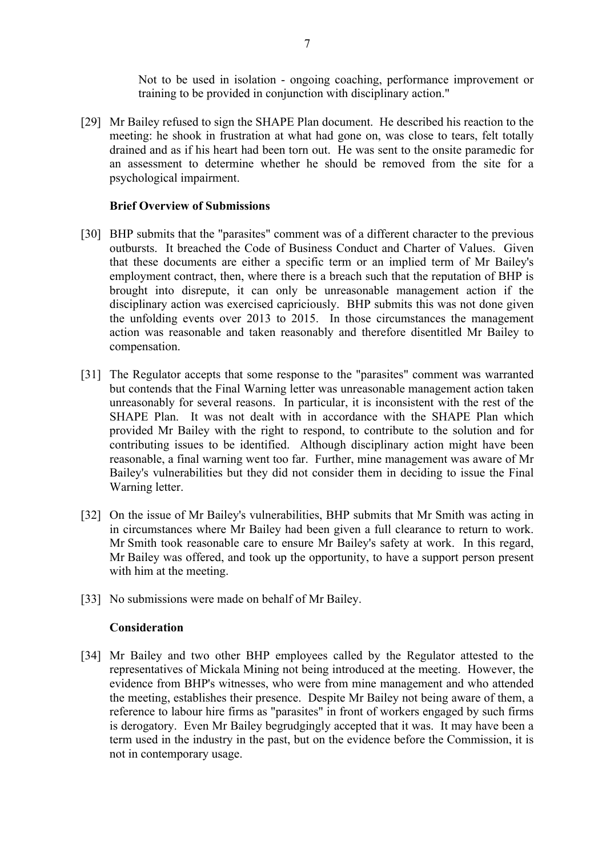Not to be used in isolation - ongoing coaching, performance improvement or training to be provided in conjunction with disciplinary action."

[29] Mr Bailey refused to sign the SHAPE Plan document. He described his reaction to the meeting: he shook in frustration at what had gone on, was close to tears, felt totally drained and as if his heart had been torn out. He was sent to the onsite paramedic for an assessment to determine whether he should be removed from the site for a psychological impairment.

## **Brief Overview of Submissions**

- [30] BHP submits that the "parasites" comment was of a different character to the previous outbursts. It breached the Code of Business Conduct and Charter of Values. Given that these documents are either a specific term or an implied term of Mr Bailey's employment contract, then, where there is a breach such that the reputation of BHP is brought into disrepute, it can only be unreasonable management action if the disciplinary action was exercised capriciously. BHP submits this was not done given the unfolding events over 2013 to 2015. In those circumstances the management action was reasonable and taken reasonably and therefore disentitled Mr Bailey to compensation.
- [31] The Regulator accepts that some response to the "parasites" comment was warranted but contends that the Final Warning letter was unreasonable management action taken unreasonably for several reasons. In particular, it is inconsistent with the rest of the SHAPE Plan. It was not dealt with in accordance with the SHAPE Plan which provided Mr Bailey with the right to respond, to contribute to the solution and for contributing issues to be identified. Although disciplinary action might have been reasonable, a final warning went too far. Further, mine management was aware of Mr Bailey's vulnerabilities but they did not consider them in deciding to issue the Final Warning letter.
- [32] On the issue of Mr Bailey's vulnerabilities, BHP submits that Mr Smith was acting in in circumstances where Mr Bailey had been given a full clearance to return to work. Mr Smith took reasonable care to ensure Mr Bailey's safety at work. In this regard, Mr Bailey was offered, and took up the opportunity, to have a support person present with him at the meeting.
- [33] No submissions were made on behalf of Mr Bailey.

### **Consideration**

[34] Mr Bailey and two other BHP employees called by the Regulator attested to the representatives of Mickala Mining not being introduced at the meeting. However, the evidence from BHP's witnesses, who were from mine management and who attended the meeting, establishes their presence. Despite Mr Bailey not being aware of them, a reference to labour hire firms as "parasites" in front of workers engaged by such firms is derogatory. Even Mr Bailey begrudgingly accepted that it was. It may have been a term used in the industry in the past, but on the evidence before the Commission, it is not in contemporary usage.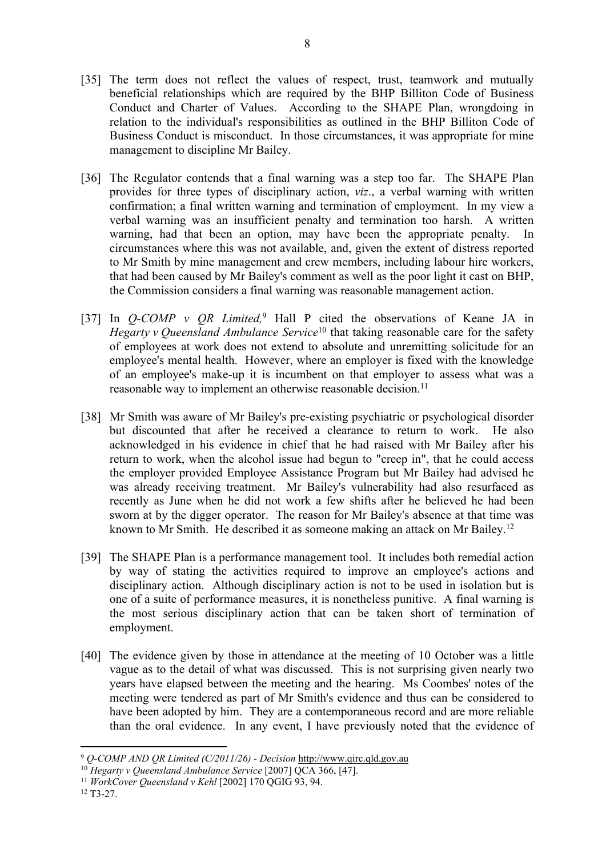- [35] The term does not reflect the values of respect, trust, teamwork and mutually beneficial relationships which are required by the BHP Billiton Code of Business Conduct and Charter of Values. According to the SHAPE Plan, wrongdoing in relation to the individual's responsibilities as outlined in the BHP Billiton Code of Business Conduct is misconduct. In those circumstances, it was appropriate for mine management to discipline Mr Bailey.
- [36] The Regulator contends that a final warning was a step too far. The SHAPE Plan provides for three types of disciplinary action, *viz*., a verbal warning with written confirmation; a final written warning and termination of employment. In my view a verbal warning was an insufficient penalty and termination too harsh. A written warning, had that been an option, may have been the appropriate penalty. circumstances where this was not available, and, given the extent of distress reported to Mr Smith by mine management and crew members, including labour hire workers, that had been caused by Mr Bailey's comment as well as the poor light it cast on BHP, the Commission considers a final warning was reasonable management action.
- [37] In *Q-COMP v QR Limited*,<sup>9</sup> Hall P cited the observations of Keane JA in *Hegarty v Queensland Ambulance Service*<sup>10</sup> that taking reasonable care for the safety of employees at work does not extend to absolute and unremitting solicitude for an employee's mental health. However, where an employer is fixed with the knowledge of an employee's make-up it is incumbent on that employer to assess what was a reasonable way to implement an otherwise reasonable decision.<sup>11</sup>
- [38] Mr Smith was aware of Mr Bailey's pre-existing psychiatric or psychological disorder but discounted that after he received a clearance to return to work. He also acknowledged in his evidence in chief that he had raised with Mr Bailey after his return to work, when the alcohol issue had begun to "creep in", that he could access the employer provided Employee Assistance Program but Mr Bailey had advised he was already receiving treatment. Mr Bailey's vulnerability had also resurfaced as recently as June when he did not work a few shifts after he believed he had been sworn at by the digger operator. The reason for Mr Bailey's absence at that time was known to Mr Smith. He described it as someone making an attack on Mr Bailey.<sup>12</sup>
- [39] The SHAPE Plan is a performance management tool. It includes both remedial action by way of stating the activities required to improve an employee's actions and disciplinary action. Although disciplinary action is not to be used in isolation but is one of a suite of performance measures, it is nonetheless punitive. A final warning is the most serious disciplinary action that can be taken short of termination of employment.
- [40] The evidence given by those in attendance at the meeting of 10 October was a little vague as to the detail of what was discussed. This is not surprising given nearly two years have elapsed between the meeting and the hearing. Ms Coombes' notes of the meeting were tendered as part of Mr Smith's evidence and thus can be considered to have been adopted by him. They are a contemporaneous record and are more reliable than the oral evidence. In any event, I have previously noted that the evidence of

<sup>9</sup>  *Q-COMP AND QR Limited (C/2011/26) - Decision* http://www.qirc.qld.gov.au

<sup>10</sup> *Hegarty v Queensland Ambulance Service* [2007] QCA 366, [47].

<sup>11</sup> *WorkCover Queensland v Kehl* [2002] 170 QGIG 93, 94.

<sup>12</sup> T3-27.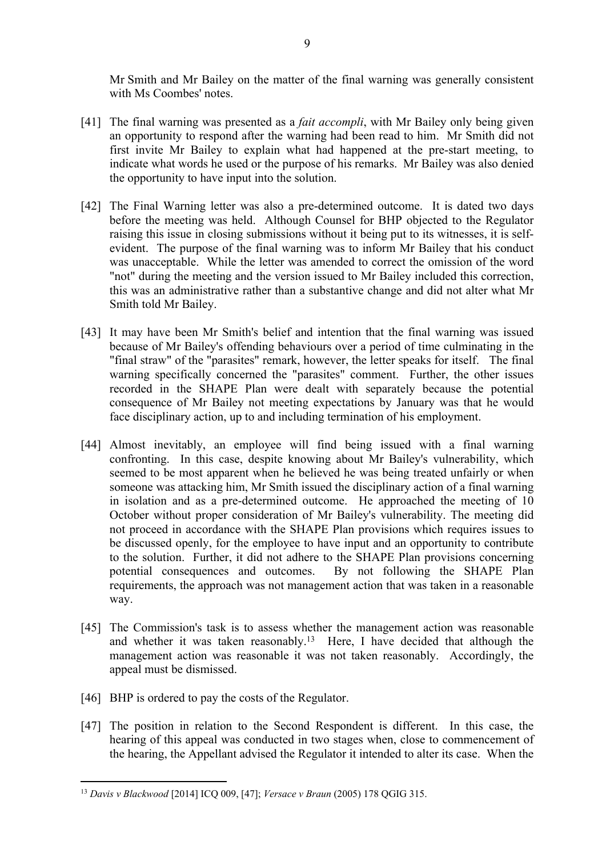Mr Smith and Mr Bailey on the matter of the final warning was generally consistent with Ms Coombes' notes.

- [41] The final warning was presented as a *fait accompli*, with Mr Bailey only being given an opportunity to respond after the warning had been read to him. Mr Smith did not first invite Mr Bailey to explain what had happened at the pre-start meeting, to indicate what words he used or the purpose of his remarks. Mr Bailey was also denied the opportunity to have input into the solution.
- [42] The Final Warning letter was also a pre-determined outcome. It is dated two days before the meeting was held. Although Counsel for BHP objected to the Regulator raising this issue in closing submissions without it being put to its witnesses, it is selfevident. The purpose of the final warning was to inform Mr Bailey that his conduct was unacceptable. While the letter was amended to correct the omission of the word "not" during the meeting and the version issued to Mr Bailey included this correction, this was an administrative rather than a substantive change and did not alter what Mr Smith told Mr Bailey.
- [43] It may have been Mr Smith's belief and intention that the final warning was issued because of Mr Bailey's offending behaviours over a period of time culminating in the "final straw" of the "parasites" remark, however, the letter speaks for itself. The final warning specifically concerned the "parasites" comment. Further, the other issues recorded in the SHAPE Plan were dealt with separately because the potential consequence of Mr Bailey not meeting expectations by January was that he would face disciplinary action, up to and including termination of his employment.
- [44] Almost inevitably, an employee will find being issued with a final warning confronting. In this case, despite knowing about Mr Bailey's vulnerability, which seemed to be most apparent when he believed he was being treated unfairly or when someone was attacking him, Mr Smith issued the disciplinary action of a final warning in isolation and as a pre-determined outcome. He approached the meeting of 10 October without proper consideration of Mr Bailey's vulnerability. The meeting did not proceed in accordance with the SHAPE Plan provisions which requires issues to be discussed openly, for the employee to have input and an opportunity to contribute to the solution. Further, it did not adhere to the SHAPE Plan provisions concerning potential consequences and outcomes. By not following the SHAPE Plan requirements, the approach was not management action that was taken in a reasonable way.
- [45] The Commission's task is to assess whether the management action was reasonable and whether it was taken reasonably.<sup>13</sup> Here, I have decided that although the management action was reasonable it was not taken reasonably. Accordingly, the appeal must be dismissed.
- [46] BHP is ordered to pay the costs of the Regulator.
- [47] The position in relation to the Second Respondent is different. In this case, the hearing of this appeal was conducted in two stages when, close to commencement of the hearing, the Appellant advised the Regulator it intended to alter its case. When the

<sup>13</sup> *Davis v Blackwood* [2014] ICQ 009, [47]; *Versace v Braun* (2005) 178 QGIG 315.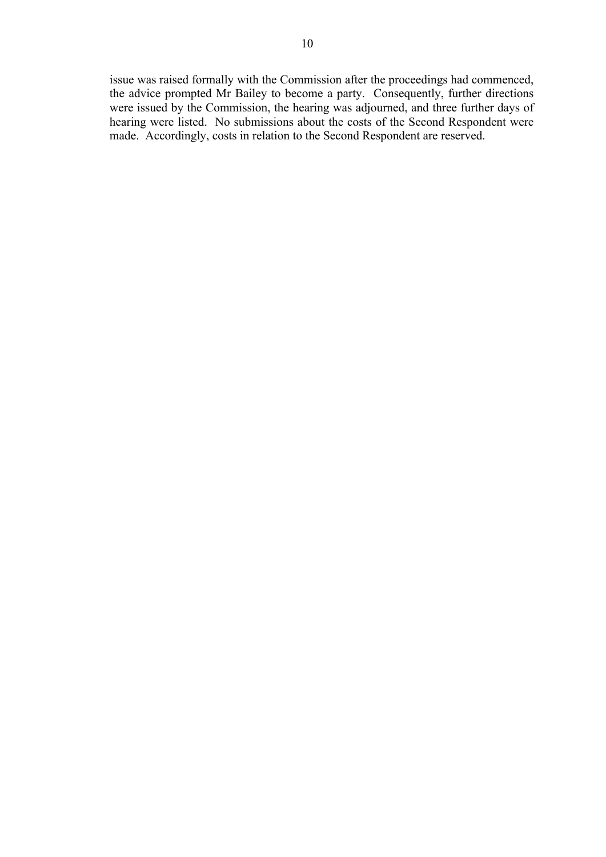issue was raised formally with the Commission after the proceedings had commenced, the advice prompted Mr Bailey to become a party. Consequently, further directions were issued by the Commission, the hearing was adjourned, and three further days of hearing were listed. No submissions about the costs of the Second Respondent were made. Accordingly, costs in relation to the Second Respondent are reserved.